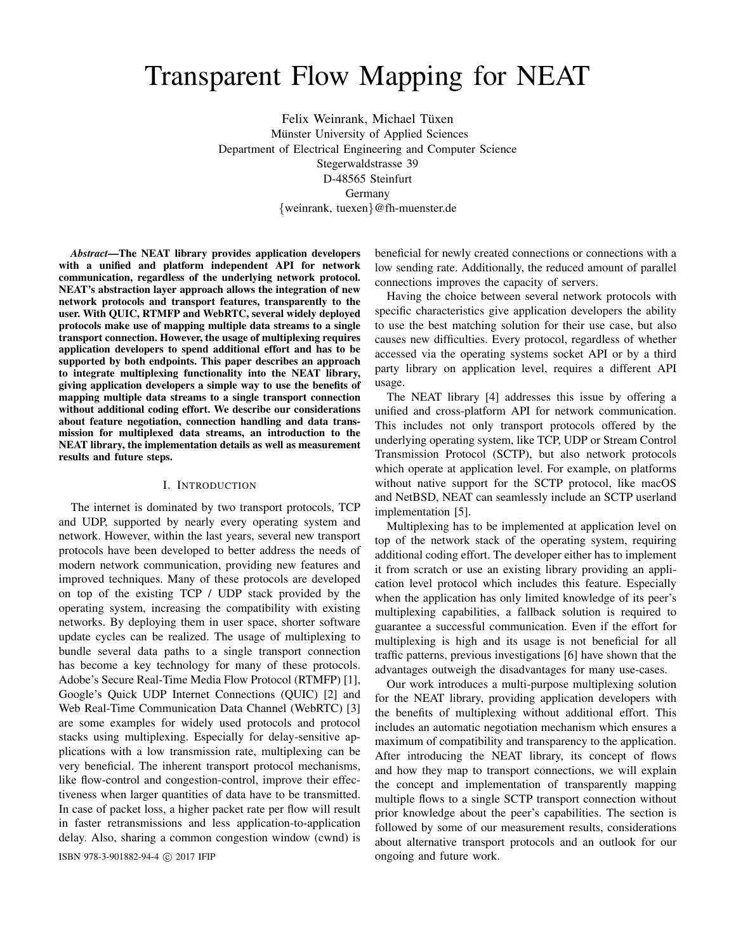# Transparent Flow Mapping for NEAT

Felix Weinrank, Michael Tüxen Münster University of Applied Sciences Department of Electrical Engineering and Computer Science Stegerwaldstrasse 39 D-48565 Steinfurt Germany {weinrank, tuexen}@fh-muenster.de

*Abstract*—The NEAT library provides application developers with a unified and platform independent API for network communication, regardless of the underlying network protocol. NEAT's abstraction layer approach allows the integration of new network protocols and transport features, transparently to the user. With QUIC, RTMFP and WebRTC, several widely deployed protocols make use of mapping multiple data streams to a single transport connection. However, the usage of multiplexing requires application developers to spend additional effort and has to be supported by both endpoints. This paper describes an approach to integrate multiplexing functionality into the NEAT library, giving application developers a simple way to use the benefits of mapping multiple data streams to a single transport connection without additional coding effort. We describe our considerations about feature negotiation, connection handling and data transmission for multiplexed data streams, an introduction to the NEAT library, the implementation details as well as measurement results and future steps.

#### I. INTRODUCTION

The internet is dominated by two transport protocols, TCP and UDP, supported by nearly every operating system and network. However, within the last years, several new transport protocols have been developed to better address the needs of modern network communication, providing new features and improved techniques. Many of these protocols are developed on top of the existing TCP / UDP stack provided by the operating system, increasing the compatibility with existing networks. By deploying them in user space, shorter software update cycles can be realized. The usage of multiplexing to bundle several data paths to a single transport connection has become a key technology for many of these protocols. Adobe's Secure Real-Time Media Flow Protocol (RTMFP) [1], Google's Quick UDP Internet Connections (QUIC) [2] and Web Real-Time Communication Data Channel (WebRTC) [3] are some examples for widely used protocols and protocol stacks using multiplexing. Especially for delay-sensitive applications with a low transmission rate, multiplexing can be very beneficial. The inherent transport protocol mechanisms, like flow-control and congestion-control, improve their effectiveness when larger quantities of data have to be transmitted. In case of packet loss, a higher packet rate per flow will result in faster retransmissions and less application-to-application delay. Also, sharing a common congestion window (cwnd) is

ISBN 978-3-901882-94-4 (c) 2017 IFIP ongoing and future work.

beneficial for newly created connections or connections with a low sending rate. Additionally, the reduced amount of parallel connections improves the capacity of servers.

Having the choice between several network protocols with specific characteristics give application developers the ability to use the best matching solution for their use case, but also causes new difficulties. Every protocol, regardless of whether accessed via the operating systems socket API or by a third party library on application level, requires a different API usage.

The NEAT library [4] addresses this issue by offering a unified and cross-platform API for network communication. This includes not only transport protocols offered by the underlying operating system, like TCP, UDP or Stream Control Transmission Protocol (SCTP), but also network protocols which operate at application level. For example, on platforms without native support for the SCTP protocol, like macOS and NetBSD, NEAT can seamlessly include an SCTP userland implementation [5].

Multiplexing has to be implemented at application level on top of the network stack of the operating system, requiring additional coding effort. The developer either has to implement it from scratch or use an existing library providing an application level protocol which includes this feature. Especially when the application has only limited knowledge of its peer's multiplexing capabilities, a fallback solution is required to guarantee a successful communication. Even if the effort for multiplexing is high and its usage is not beneficial for all traffic patterns, previous investigations [6] have shown that the advantages outweigh the disadvantages for many use-cases.

Our work introduces a multi-purpose multiplexing solution for the NEAT library, providing application developers with the benefits of multiplexing without additional effort. This includes an automatic negotiation mechanism which ensures a maximum of compatibility and transparency to the application. After introducing the NEAT library, its concept of flows and how they map to transport connections, we will explain the concept and implementation of transparently mapping multiple flows to a single SCTP transport connection without prior knowledge about the peer's capabilities. The section is followed by some of our measurement results, considerations about alternative transport protocols and an outlook for our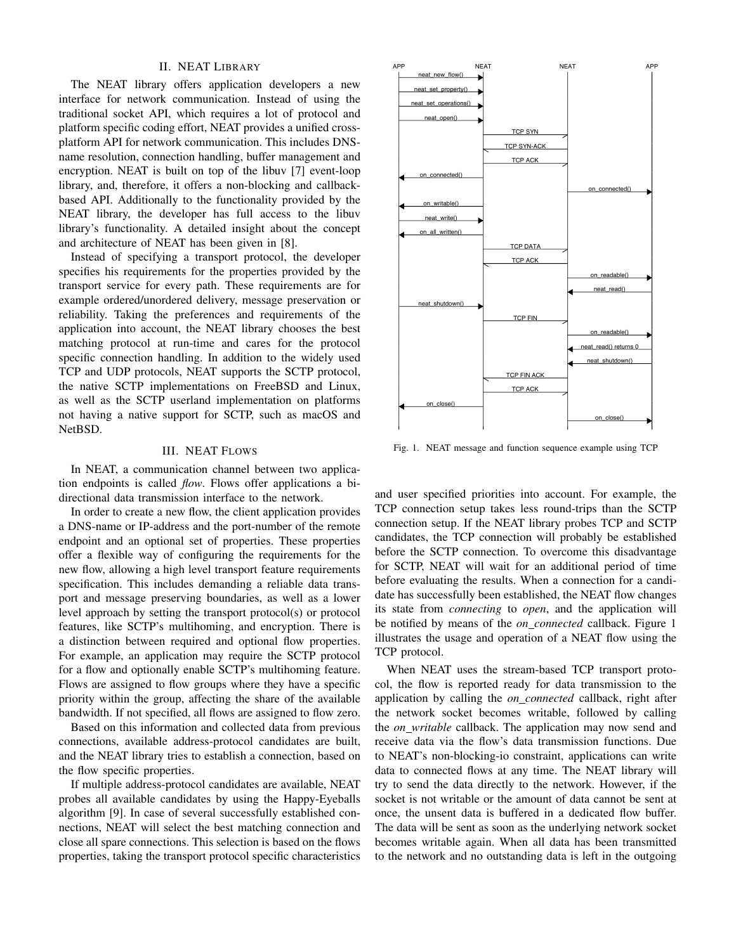## II. NEAT LIBRARY

The NEAT library offers application developers a new interface for network communication. Instead of using the traditional socket API, which requires a lot of protocol and platform specific coding effort, NEAT provides a unified crossplatform API for network communication. This includes DNSname resolution, connection handling, buffer management and encryption. NEAT is built on top of the libuv [7] event-loop library, and, therefore, it offers a non-blocking and callbackbased API. Additionally to the functionality provided by the NEAT library, the developer has full access to the libuv library's functionality. A detailed insight about the concept and architecture of NEAT has been given in [8].

Instead of specifying a transport protocol, the developer specifies his requirements for the properties provided by the transport service for every path. These requirements are for example ordered/unordered delivery, message preservation or reliability. Taking the preferences and requirements of the application into account, the NEAT library chooses the best matching protocol at run-time and cares for the protocol specific connection handling. In addition to the widely used TCP and UDP protocols, NEAT supports the SCTP protocol, the native SCTP implementations on FreeBSD and Linux, as well as the SCTP userland implementation on platforms not having a native support for SCTP, such as macOS and NetBSD.

## III. NEAT FLOWS

In NEAT, a communication channel between two application endpoints is called *flow*. Flows offer applications a bidirectional data transmission interface to the network.

In order to create a new flow, the client application provides a DNS-name or IP-address and the port-number of the remote endpoint and an optional set of properties. These properties offer a flexible way of configuring the requirements for the new flow, allowing a high level transport feature requirements specification. This includes demanding a reliable data transport and message preserving boundaries, as well as a lower level approach by setting the transport protocol(s) or protocol features, like SCTP's multihoming, and encryption. There is a distinction between required and optional flow properties. For example, an application may require the SCTP protocol for a flow and optionally enable SCTP's multihoming feature. Flows are assigned to flow groups where they have a specific priority within the group, affecting the share of the available bandwidth. If not specified, all flows are assigned to flow zero.

Based on this information and collected data from previous connections, available address-protocol candidates are built, and the NEAT library tries to establish a connection, based on the flow specific properties.

If multiple address-protocol candidates are available, NEAT probes all available candidates by using the Happy-Eyeballs algorithm [9]. In case of several successfully established connections, NEAT will select the best matching connection and close all spare connections. This selection is based on the flows properties, taking the transport protocol specific characteristics



Fig. 1. NEAT message and function sequence example using TCP

and user specified priorities into account. For example, the TCP connection setup takes less round-trips than the SCTP connection setup. If the NEAT library probes TCP and SCTP candidates, the TCP connection will probably be established before the SCTP connection. To overcome this disadvantage for SCTP, NEAT will wait for an additional period of time before evaluating the results. When a connection for a candidate has successfully been established, the NEAT flow changes its state from *connecting* to *open*, and the application will be notified by means of the *on connected* callback. Figure 1 illustrates the usage and operation of a NEAT flow using the TCP protocol.

When NEAT uses the stream-based TCP transport protocol, the flow is reported ready for data transmission to the application by calling the *on connected* callback, right after the network socket becomes writable, followed by calling the *on writable* callback. The application may now send and receive data via the flow's data transmission functions. Due to NEAT's non-blocking-io constraint, applications can write data to connected flows at any time. The NEAT library will try to send the data directly to the network. However, if the socket is not writable or the amount of data cannot be sent at once, the unsent data is buffered in a dedicated flow buffer. The data will be sent as soon as the underlying network socket becomes writable again. When all data has been transmitted to the network and no outstanding data is left in the outgoing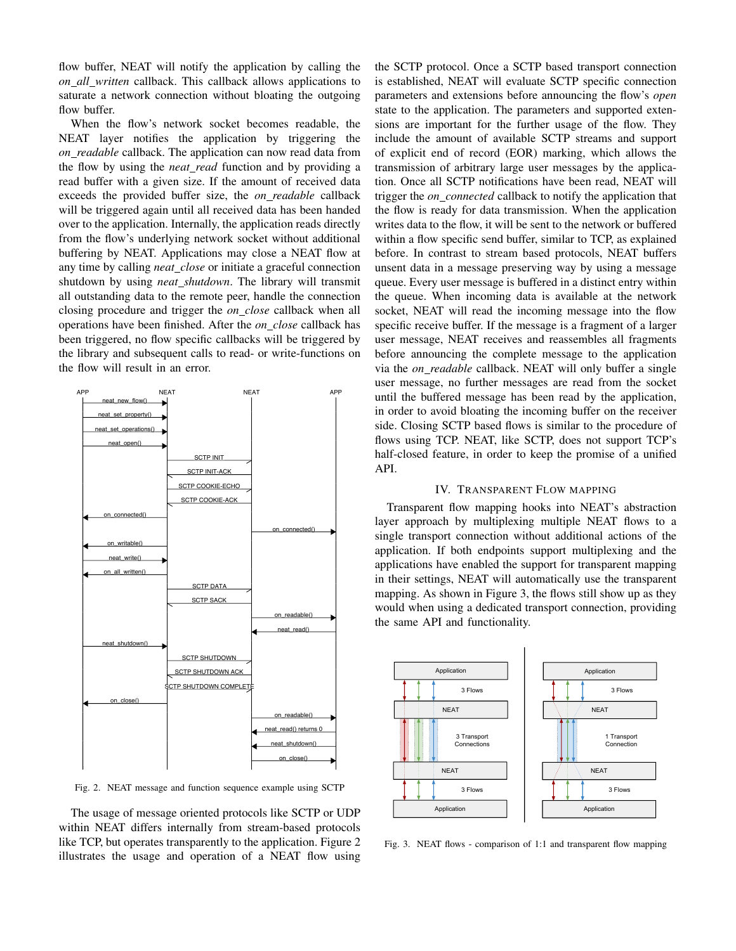flow buffer, NEAT will notify the application by calling the *on all written* callback. This callback allows applications to saturate a network connection without bloating the outgoing flow buffer.

When the flow's network socket becomes readable, the NEAT layer notifies the application by triggering the *on readable* callback. The application can now read data from the flow by using the *neat read* function and by providing a read buffer with a given size. If the amount of received data exceeds the provided buffer size, the *on readable* callback will be triggered again until all received data has been handed over to the application. Internally, the application reads directly from the flow's underlying network socket without additional buffering by NEAT. Applications may close a NEAT flow at any time by calling *neat close* or initiate a graceful connection shutdown by using *neat shutdown*. The library will transmit all outstanding data to the remote peer, handle the connection closing procedure and trigger the *on close* callback when all operations have been finished. After the *on close* callback has been triggered, no flow specific callbacks will be triggered by the library and subsequent calls to read- or write-functions on the flow will result in an error.



Fig. 2. NEAT message and function sequence example using SCTP

The usage of message oriented protocols like SCTP or UDP within NEAT differs internally from stream-based protocols like TCP, but operates transparently to the application. Figure 2 illustrates the usage and operation of a NEAT flow using the SCTP protocol. Once a SCTP based transport connection is established, NEAT will evaluate SCTP specific connection parameters and extensions before announcing the flow's *open* state to the application. The parameters and supported extensions are important for the further usage of the flow. They include the amount of available SCTP streams and support of explicit end of record (EOR) marking, which allows the transmission of arbitrary large user messages by the application. Once all SCTP notifications have been read, NEAT will trigger the *on connected* callback to notify the application that the flow is ready for data transmission. When the application writes data to the flow, it will be sent to the network or buffered within a flow specific send buffer, similar to TCP, as explained before. In contrast to stream based protocols, NEAT buffers unsent data in a message preserving way by using a message queue. Every user message is buffered in a distinct entry within the queue. When incoming data is available at the network socket, NEAT will read the incoming message into the flow specific receive buffer. If the message is a fragment of a larger user message, NEAT receives and reassembles all fragments before announcing the complete message to the application via the *on readable* callback. NEAT will only buffer a single user message, no further messages are read from the socket until the buffered message has been read by the application, in order to avoid bloating the incoming buffer on the receiver side. Closing SCTP based flows is similar to the procedure of flows using TCP. NEAT, like SCTP, does not support TCP's half-closed feature, in order to keep the promise of a unified API.

## IV. TRANSPARENT FLOW MAPPING

Transparent flow mapping hooks into NEAT's abstraction layer approach by multiplexing multiple NEAT flows to a single transport connection without additional actions of the application. If both endpoints support multiplexing and the applications have enabled the support for transparent mapping in their settings, NEAT will automatically use the transparent mapping. As shown in Figure 3, the flows still show up as they would when using a dedicated transport connection, providing the same API and functionality.



Fig. 3. NEAT flows - comparison of 1:1 and transparent flow mapping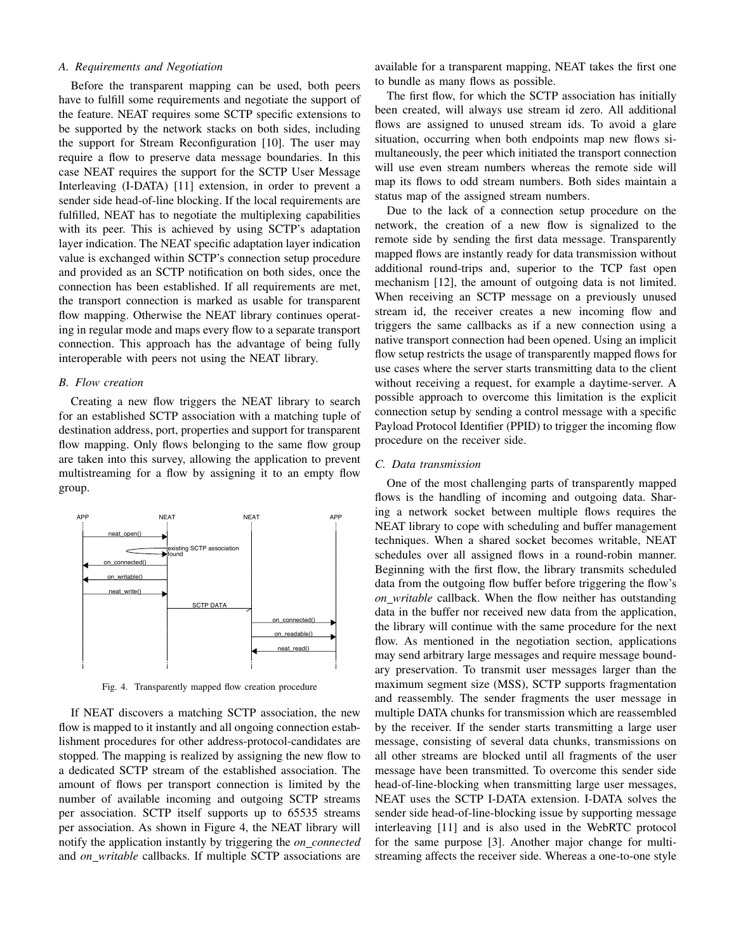# *A. Requirements and Negotiation*

Before the transparent mapping can be used, both peers have to fulfill some requirements and negotiate the support of the feature. NEAT requires some SCTP specific extensions to be supported by the network stacks on both sides, including the support for Stream Reconfiguration [10]. The user may require a flow to preserve data message boundaries. In this case NEAT requires the support for the SCTP User Message Interleaving (I-DATA) [11] extension, in order to prevent a sender side head-of-line blocking. If the local requirements are fulfilled, NEAT has to negotiate the multiplexing capabilities with its peer. This is achieved by using SCTP's adaptation layer indication. The NEAT specific adaptation layer indication value is exchanged within SCTP's connection setup procedure and provided as an SCTP notification on both sides, once the connection has been established. If all requirements are met, the transport connection is marked as usable for transparent flow mapping. Otherwise the NEAT library continues operating in regular mode and maps every flow to a separate transport connection. This approach has the advantage of being fully interoperable with peers not using the NEAT library.

#### *B. Flow creation*

Creating a new flow triggers the NEAT library to search for an established SCTP association with a matching tuple of destination address, port, properties and support for transparent flow mapping. Only flows belonging to the same flow group are taken into this survey, allowing the application to prevent multistreaming for a flow by assigning it to an empty flow group.



Fig. 4. Transparently mapped flow creation procedure

If NEAT discovers a matching SCTP association, the new flow is mapped to it instantly and all ongoing connection establishment procedures for other address-protocol-candidates are stopped. The mapping is realized by assigning the new flow to a dedicated SCTP stream of the established association. The amount of flows per transport connection is limited by the number of available incoming and outgoing SCTP streams per association. SCTP itself supports up to 65535 streams per association. As shown in Figure 4, the NEAT library will notify the application instantly by triggering the *on connected* and *on writable* callbacks. If multiple SCTP associations are

available for a transparent mapping, NEAT takes the first one to bundle as many flows as possible.

The first flow, for which the SCTP association has initially been created, will always use stream id zero. All additional flows are assigned to unused stream ids. To avoid a glare situation, occurring when both endpoints map new flows simultaneously, the peer which initiated the transport connection will use even stream numbers whereas the remote side will map its flows to odd stream numbers. Both sides maintain a status map of the assigned stream numbers.

Due to the lack of a connection setup procedure on the network, the creation of a new flow is signalized to the remote side by sending the first data message. Transparently mapped flows are instantly ready for data transmission without additional round-trips and, superior to the TCP fast open mechanism [12], the amount of outgoing data is not limited. When receiving an SCTP message on a previously unused stream id, the receiver creates a new incoming flow and triggers the same callbacks as if a new connection using a native transport connection had been opened. Using an implicit flow setup restricts the usage of transparently mapped flows for use cases where the server starts transmitting data to the client without receiving a request, for example a daytime-server. A possible approach to overcome this limitation is the explicit connection setup by sending a control message with a specific Payload Protocol Identifier (PPID) to trigger the incoming flow procedure on the receiver side.

## *C. Data transmission*

One of the most challenging parts of transparently mapped flows is the handling of incoming and outgoing data. Sharing a network socket between multiple flows requires the NEAT library to cope with scheduling and buffer management techniques. When a shared socket becomes writable, NEAT schedules over all assigned flows in a round-robin manner. Beginning with the first flow, the library transmits scheduled data from the outgoing flow buffer before triggering the flow's *on writable* callback. When the flow neither has outstanding data in the buffer nor received new data from the application, the library will continue with the same procedure for the next flow. As mentioned in the negotiation section, applications may send arbitrary large messages and require message boundary preservation. To transmit user messages larger than the maximum segment size (MSS), SCTP supports fragmentation and reassembly. The sender fragments the user message in multiple DATA chunks for transmission which are reassembled by the receiver. If the sender starts transmitting a large user message, consisting of several data chunks, transmissions on all other streams are blocked until all fragments of the user message have been transmitted. To overcome this sender side head-of-line-blocking when transmitting large user messages, NEAT uses the SCTP I-DATA extension. I-DATA solves the sender side head-of-line-blocking issue by supporting message interleaving [11] and is also used in the WebRTC protocol for the same purpose [3]. Another major change for multistreaming affects the receiver side. Whereas a one-to-one style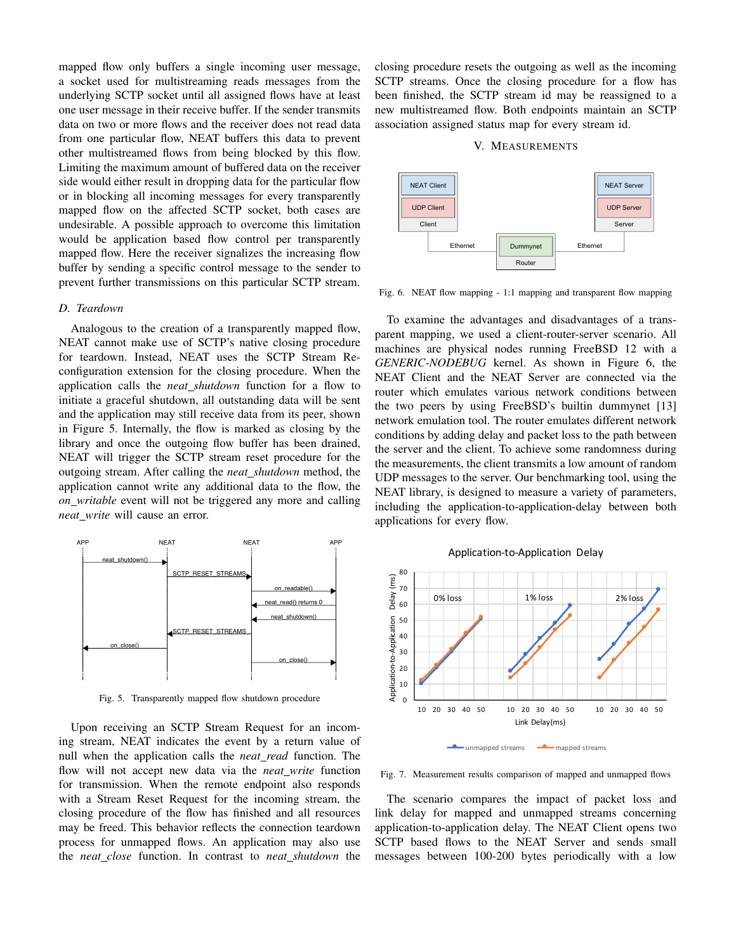mapped flow only buffers a single incoming user message, a socket used for multistreaming reads messages from the underlying SCTP socket until all assigned flows have at least one user message in their receive buffer. If the sender transmits data on two or more flows and the receiver does not read data from one particular flow, NEAT buffers this data to prevent other multistreamed flows from being blocked by this flow. Limiting the maximum amount of buffered data on the receiver side would either result in dropping data for the particular flow or in blocking all incoming messages for every transparently mapped flow on the affected SCTP socket, both cases are undesirable. A possible approach to overcome this limitation would be application based flow control per transparently mapped flow. Here the receiver signalizes the increasing flow buffer by sending a specific control message to the sender to prevent further transmissions on this particular SCTP stream.

### *D. Teardown*

Analogous to the creation of a transparently mapped flow, NEAT cannot make use of SCTP's native closing procedure for teardown. Instead, NEAT uses the SCTP Stream Reconfiguration extension for the closing procedure. When the application calls the *neat shutdown* function for a flow to initiate a graceful shutdown, all outstanding data will be sent and the application may still receive data from its peer, shown in Figure 5. Internally, the flow is marked as closing by the library and once the outgoing flow buffer has been drained, NEAT will trigger the SCTP stream reset procedure for the outgoing stream. After calling the *neat shutdown* method, the application cannot write any additional data to the flow, the *on writable* event will not be triggered any more and calling *neat write* will cause an error.



Fig. 5. Transparently mapped flow shutdown procedure

Upon receiving an SCTP Stream Request for an incoming stream, NEAT indicates the event by a return value of null when the application calls the *neat read* function. The flow will not accept new data via the *neat\_write* function for transmission. When the remote endpoint also responds with a Stream Reset Request for the incoming stream, the closing procedure of the flow has finished and all resources may be freed. This behavior reflects the connection teardown process for unmapped flows. An application may also use the *neat close* function. In contrast to *neat shutdown* the closing procedure resets the outgoing as well as the incoming SCTP streams. Once the closing procedure for a flow has been finished, the SCTP stream id may be reassigned to a new multistreamed flow. Both endpoints maintain an SCTP association assigned status map for every stream id.

## V. MEASUREMENTS



Fig. 6. NEAT flow mapping - 1:1 mapping and transparent flow mapping

To examine the advantages and disadvantages of a transparent mapping, we used a client-router-server scenario. All machines are physical nodes running FreeBSD 12 with a *GENERIC-NODEBUG* kernel. As shown in Figure 6, the NEAT Client and the NEAT Server are connected via the router which emulates various network conditions between the two peers by using FreeBSD's builtin dummynet [13] network emulation tool. The router emulates different network conditions by adding delay and packet loss to the path between the server and the client. To achieve some randomness during the measurements, the client transmits a low amount of random UDP messages to the server. Our benchmarking tool, using the NEAT library, is designed to measure a variety of parameters, including the application-to-application-delay between both applications for every flow.



Application-to-Application Delay

Fig. 7. Measurement results comparison of mapped and unmapped flows

unmapped streams **mapped** streams

The scenario compares the impact of packet loss and link delay for mapped and unmapped streams concerning application-to-application delay. The NEAT Client opens two SCTP based flows to the NEAT Server and sends small messages between 100-200 bytes periodically with a low